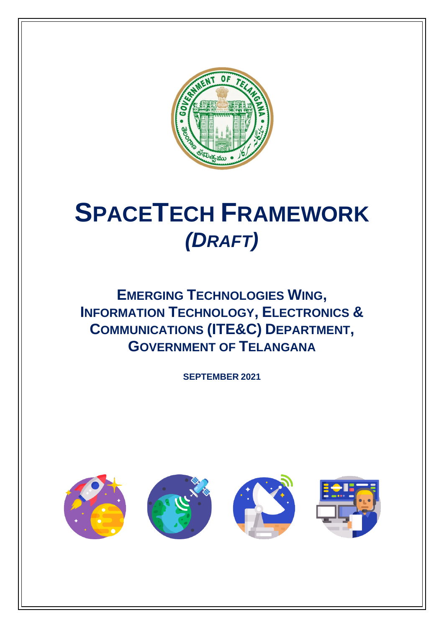

# **SPACETECH FRAMEWORK** *(DRAFT)*

**EMERGING TECHNOLOGIES WING, INFORMATION TECHNOLOGY, ELECTRONICS & COMMUNICATIONS (ITE&C) DEPARTMENT, GOVERNMENT OF TELANGANA**

**SEPTEMBER 2021**

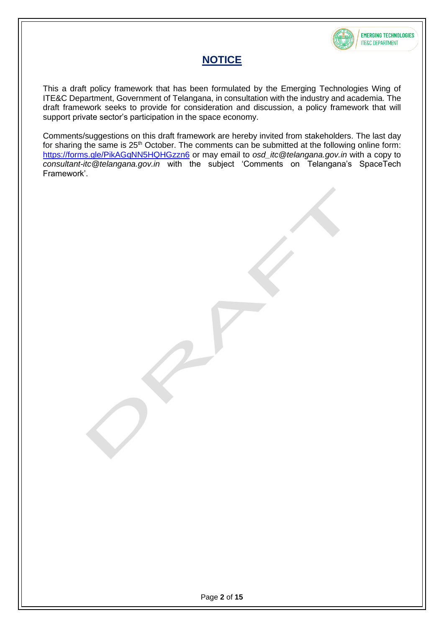

### **NOTICE**

This a draft policy framework that has been formulated by the Emerging Technologies Wing of ITE&C Department, Government of Telangana, in consultation with the industry and academia. The draft framework seeks to provide for consideration and discussion, a policy framework that will support private sector's participation in the space economy.

Comments/suggestions on this draft framework are hereby invited from stakeholders. The last day for sharing the same is 25<sup>th</sup> October. The comments can be submitted at the following online form: <https://forms.gle/PikAGqNN5HQHGzzn6> or may email to *osd\_itc@telangana.gov.in* with a copy to *consultant-itc@telangana.gov.in* with the subject 'Comments on Telangana's SpaceTech Framework'.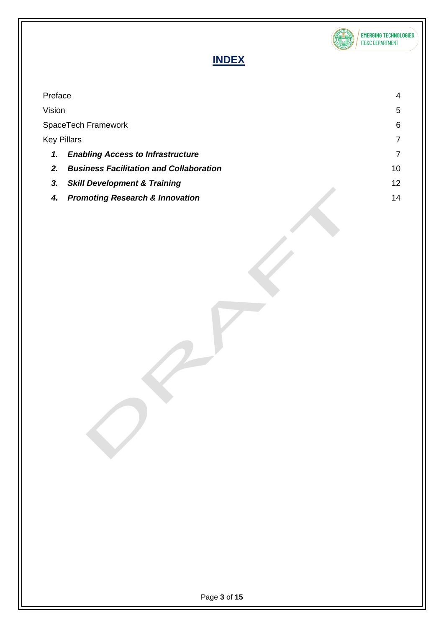

## **INDEX**

| Preface                                              | 4  |
|------------------------------------------------------|----|
| Vision                                               | 5  |
| SpaceTech Framework                                  | 6  |
| <b>Key Pillars</b>                                   |    |
| <b>Enabling Access to Infrastructure</b><br>1.       |    |
| <b>Business Facilitation and Collaboration</b><br>2. | 10 |
| <b>Skill Development &amp; Training</b><br>3.        | 12 |
| <b>Promoting Research &amp; Innovation</b><br>4.     | 14 |
|                                                      |    |
|                                                      |    |
|                                                      |    |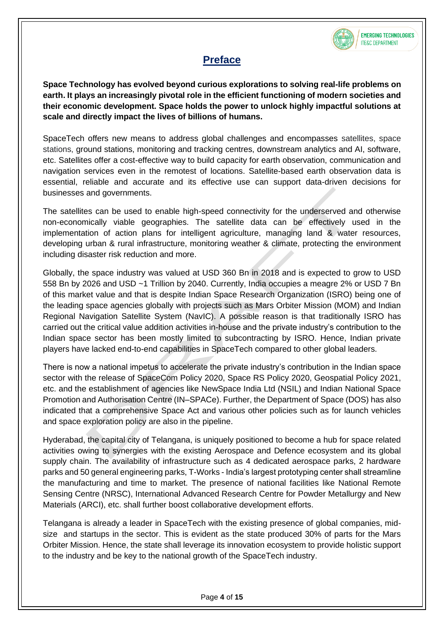

## **Preface**

<span id="page-3-0"></span>**Space Technology has evolved beyond curious explorations to solving real-life problems on earth. It plays an increasingly pivotal role in the efficient functioning of modern societies and their economic development. Space holds the power to unlock highly impactful solutions at scale and directly impact the lives of billions of humans.**

SpaceTech offers new means to address global challenges and encompasses satellites, space stations, ground stations, monitoring and tracking centres, downstream analytics and AI, software, etc. Satellites offer a cost-effective way to build capacity for earth observation, communication and navigation services even in the remotest of locations. Satellite-based earth observation data is essential, reliable and accurate and its effective use can support data-driven decisions for businesses and governments.

The satellites can be used to enable high-speed connectivity for the underserved and otherwise non-economically viable geographies. The satellite data can be effectively used in the implementation of action plans for intelligent agriculture, managing land & water resources, developing urban & rural infrastructure, monitoring weather & climate, protecting the environment including disaster risk reduction and more.

Globally, the space industry was valued at USD 360 Bn in 2018 and is expected to grow to USD 558 Bn by 2026 and USD ~1 Trillion by 2040. Currently, India occupies a meagre 2% or USD 7 Bn of this market value and that is despite Indian Space Research Organization (ISRO) being one of the leading space agencies globally with projects such as Mars Orbiter Mission (MOM) and Indian Regional Navigation Satellite System (NavIC). A possible reason is that traditionally ISRO has carried out the critical value addition activities in-house and the private industry's contribution to the Indian space sector has been mostly limited to subcontracting by ISRO. Hence, Indian private players have lacked end-to-end capabilities in SpaceTech compared to other global leaders.

There is now a national impetus to accelerate the private industry's contribution in the Indian space sector with the release of SpaceCom Policy 2020, Space RS Policy 2020, Geospatial Policy 2021, etc. and the establishment of agencies like NewSpace India Ltd (NSIL) and Indian National Space Promotion and Authorisation Centre (IN–SPACe). Further, the Department of Space (DOS) has also indicated that a comprehensive Space Act and various other policies such as for launch vehicles and space exploration policy are also in the pipeline.

Hyderabad, the capital city of Telangana, is uniquely positioned to become a hub for space related activities owing to synergies with the existing Aerospace and Defence ecosystem and its global supply chain. The availability of infrastructure such as 4 dedicated aerospace parks, 2 hardware parks and 50 general engineering parks, T-Works - India's largest prototyping center shall streamline the manufacturing and time to market. The presence of national facilities like National Remote Sensing Centre (NRSC), International Advanced Research Centre for Powder Metallurgy and New Materials (ARCI), etc. shall further boost collaborative development efforts.

Telangana is already a leader in SpaceTech with the existing presence of global companies, midsize and startups in the sector. This is evident as the state produced 30% of parts for the Mars Orbiter Mission. Hence, the state shall leverage its innovation ecosystem to provide holistic support to the industry and be key to the national growth of the SpaceTech industry.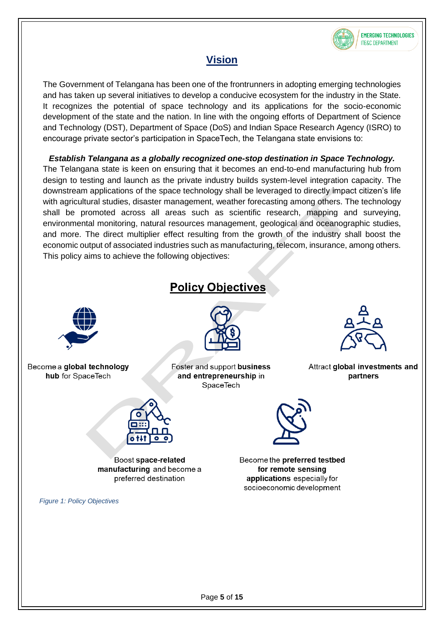

## **Vision**

<span id="page-4-0"></span>The Government of Telangana has been one of the frontrunners in adopting emerging technologies and has taken up several initiatives to develop a conducive ecosystem for the industry in the State. It recognizes the potential of space technology and its applications for the socio-economic development of the state and the nation. In line with the ongoing efforts of Department of Science and Technology (DST), Department of Space (DoS) and Indian Space Research Agency (ISRO) to encourage private sector's participation in SpaceTech, the Telangana state envisions to:

*Establish Telangana as a globally recognized one-stop destination in Space Technology.* The Telangana state is keen on ensuring that it becomes an end-to-end manufacturing hub from design to testing and launch as the private industry builds system-level integration capacity. The downstream applications of the space technology shall be leveraged to directly impact citizen's life with agricultural studies, disaster management, weather forecasting among others. The technology shall be promoted across all areas such as scientific research, mapping and surveying, environmental monitoring, natural resources management, geological and oceanographic studies, and more. The direct multiplier effect resulting from the growth of the industry shall boost the economic output of associated industries such as manufacturing, telecom, insurance, among others. This policy aims to achieve the following objectives:

## **Policy Objectives**



Become a global technology hub for SpaceTech



Boost space-related manufacturing and become a preferred destination

*Figure 1: Policy Objectives*



Foster and support business and entrepreneurship in SpaceTech



Become the preferred testbed for remote sensing applications especially for socioeconomic development



Attract global investments and partners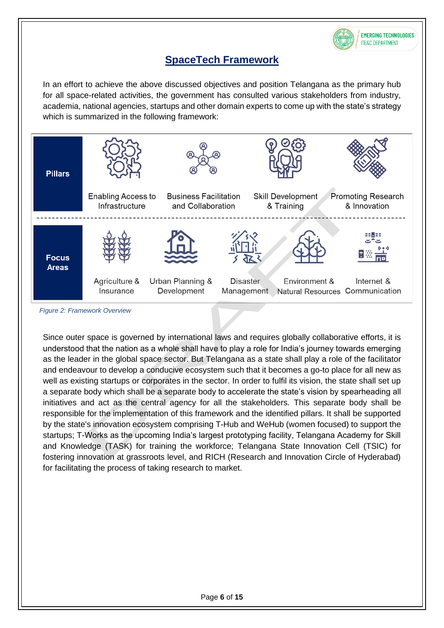

## **SpaceTech Framework**

<span id="page-5-0"></span>In an effort to achieve the above discussed objectives and position Telangana as the primary hub for all space-related activities, the government has consulted various stakeholders from industry, academia, national agencies, startups and other domain experts to come up with the state's strategy which is summarized in the following framework:



<span id="page-5-1"></span>*Figure 2: Framework Overview*

Since outer space is governed by international laws and requires globally collaborative efforts, it is understood that the nation as a whole shall have to play a role for India's journey towards emerging as the leader in the global space sector. But Telangana as a state shall play a role of the facilitator and endeavour to develop a conducive ecosystem such that it becomes a go-to place for all new as well as existing startups or corporates in the sector. In order to fulfil its vision, the state shall set up a separate body which shall be a separate body to accelerate the state's vision by spearheading all initiatives and act as the central agency for all the stakeholders. This separate body shall be responsible for the implementation of this framework and the identified pillars. It shall be supported by the state's innovation ecosystem comprising T-Hub and WeHub (women focused) to support the startups; T-Works as the upcoming India's largest prototyping facility, Telangana Academy for Skill and Knowledge (TASK) for training the workforce; Telangana State Innovation Cell (TSIC) for fostering innovation at grassroots level, and RICH (Research and Innovation Circle of Hyderabad) for facilitating the process of taking research to market.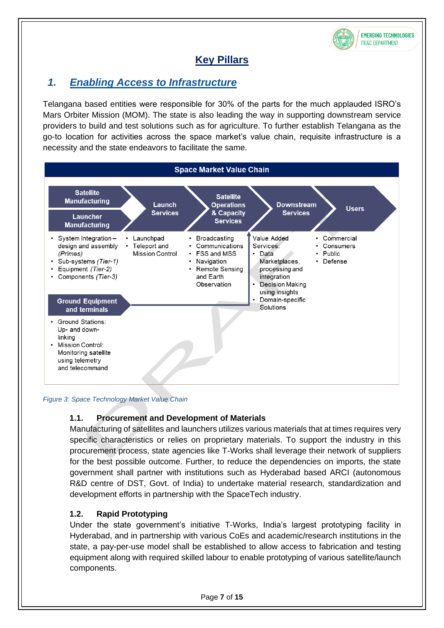

## **Key Pillars**

## <span id="page-6-1"></span><span id="page-6-0"></span>*1. Enabling Access to Infrastructure*

Telangana based entities were responsible for 30% of the parts for the much applauded ISRO's Mars Orbiter Mission (MOM). The state is also leading the way in supporting downstream service providers to build and test solutions such as for agriculture. To further establish Telangana as the go-to location for activities across the space market's value chain, requisite infrastructure is a necessity and the state endeavors to facilitate the same.



*Figure 3: Space Technology Market Value Chain*

#### **1.1. Procurement and Development of Materials**

Manufacturing of satellites and launchers utilizes various materials that at times requires very specific characteristics or relies on proprietary materials. To support the industry in this procurement process, state agencies like T-Works shall leverage their network of suppliers for the best possible outcome. Further, to reduce the dependencies on imports, the state government shall partner with institutions such as Hyderabad based ARCI (autonomous R&D centre of DST, Govt. of India) to undertake material research, standardization and development efforts in partnership with the SpaceTech industry.

#### **1.2. Rapid Prototyping**

Under the state government's initiative T-Works, India's largest prototyping facility in Hyderabad, and in partnership with various CoEs and academic/research institutions in the state, a pay-per-use model shall be established to allow access to fabrication and testing equipment along with required skilled labour to enable prototyping of various satellite/launch components.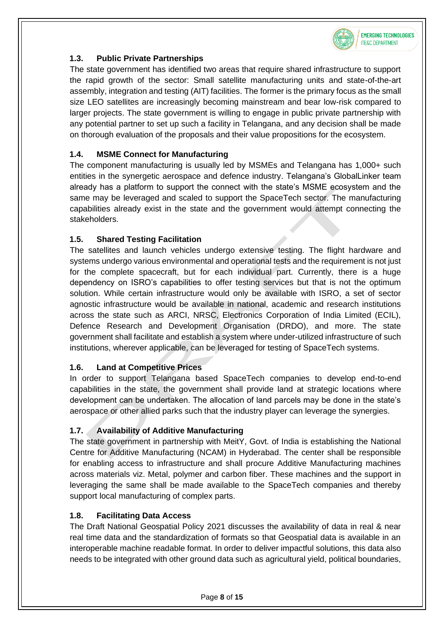

#### **1.3. Public Private Partnerships**

The state government has identified two areas that require shared infrastructure to support the rapid growth of the sector: Small satellite manufacturing units and state-of-the-art assembly, integration and testing (AIT) facilities. The former is the primary focus as the small size LEO satellites are increasingly becoming mainstream and bear low-risk compared to larger projects. The state government is willing to engage in public private partnership with any potential partner to set up such a facility in Telangana, and any decision shall be made on thorough evaluation of the proposals and their value propositions for the ecosystem.

#### **1.4. MSME Connect for Manufacturing**

The component manufacturing is usually led by MSMEs and Telangana has 1,000+ such entities in the synergetic aerospace and defence industry. Telangana's GlobalLinker team already has a platform to support the connect with the state's MSME ecosystem and the same may be leveraged and scaled to support the SpaceTech sector. The manufacturing capabilities already exist in the state and the government would attempt connecting the stakeholders.

#### **1.5. Shared Testing Facilitation**

The satellites and launch vehicles undergo extensive testing. The flight hardware and systems undergo various environmental and operational tests and the requirement is not just for the complete spacecraft, but for each individual part. Currently, there is a huge dependency on ISRO's capabilities to offer testing services but that is not the optimum solution. While certain infrastructure would only be available with ISRO, a set of sector agnostic infrastructure would be available in national, academic and research institutions across the state such as ARCI, NRSC, Electronics Corporation of India Limited (ECIL), Defence Research and Development Organisation (DRDO), and more. The state government shall facilitate and establish a system where under-utilized infrastructure of such institutions, wherever applicable, can be leveraged for testing of SpaceTech systems.

#### **1.6. Land at Competitive Prices**

In order to support Telangana based SpaceTech companies to develop end-to-end capabilities in the state, the government shall provide land at strategic locations where development can be undertaken. The allocation of land parcels may be done in the state's aerospace or other allied parks such that the industry player can leverage the synergies.

#### **1.7. Availability of Additive Manufacturing**

The state government in partnership with MeitY, Govt. of India is establishing the National Centre for Additive Manufacturing (NCAM) in Hyderabad. The center shall be responsible for enabling access to infrastructure and shall procure Additive Manufacturing machines across materials viz. Metal, polymer and carbon fiber. These machines and the support in leveraging the same shall be made available to the SpaceTech companies and thereby support local manufacturing of complex parts.

#### **1.8. Facilitating Data Access**

The Draft National Geospatial Policy 2021 discusses the availability of data in real & near real time data and the standardization of formats so that Geospatial data is available in an interoperable machine readable format. In order to deliver impactful solutions, this data also needs to be integrated with other ground data such as agricultural yield, political boundaries,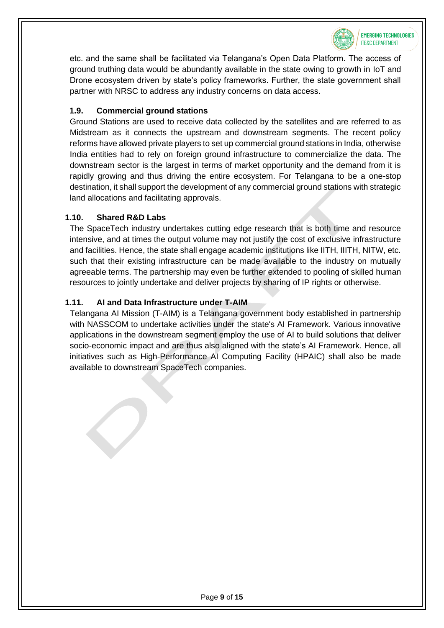

etc. and the same shall be facilitated via Telangana's Open Data Platform. The access of ground truthing data would be abundantly available in the state owing to growth in IoT and Drone ecosystem driven by state's policy frameworks. Further, the state government shall partner with NRSC to address any industry concerns on data access.

#### **1.9. Commercial ground stations**

Ground Stations are used to receive data collected by the satellites and are referred to as Midstream as it connects the upstream and downstream segments. The recent policy reforms have allowed private players to set up commercial ground stations in India, otherwise India entities had to rely on foreign ground infrastructure to commercialize the data. The downstream sector is the largest in terms of market opportunity and the demand from it is rapidly growing and thus driving the entire ecosystem. For Telangana to be a one-stop destination, it shall support the development of any commercial ground stations with strategic land allocations and facilitating approvals.

#### **1.10. Shared R&D Labs**

The SpaceTech industry undertakes cutting edge research that is both time and resource intensive, and at times the output volume may not justify the cost of exclusive infrastructure and facilities. Hence, the state shall engage academic institutions like IITH, IIITH, NITW, etc. such that their existing infrastructure can be made available to the industry on mutually agreeable terms. The partnership may even be further extended to pooling of skilled human resources to jointly undertake and deliver projects by sharing of IP rights or otherwise.

#### **1.11. AI and Data Infrastructure under T-AIM**

Telangana AI Mission (T-AIM) is a Telangana government body established in partnership with NASSCOM to undertake activities under the state's AI Framework. Various innovative applications in the downstream segment employ the use of AI to build solutions that deliver socio-economic impact and are thus also aligned with the state's AI Framework. Hence, all initiatives such as High-Performance AI Computing Facility (HPAIC) shall also be made available to downstream SpaceTech companies.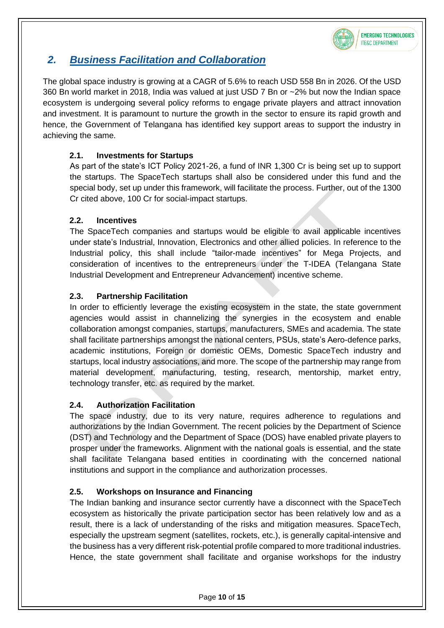

## <span id="page-9-0"></span>*2. Business Facilitation and Collaboration*

The global space industry is growing at a CAGR of 5.6% to reach USD 558 Bn in 2026. Of the USD 360 Bn world market in 2018, India was valued at just USD 7 Bn or ~2% but now the Indian space ecosystem is undergoing several policy reforms to engage private players and attract innovation and investment. It is paramount to nurture the growth in the sector to ensure its rapid growth and hence, the Government of Telangana has identified key support areas to support the industry in achieving the same.

#### **2.1. Investments for Startups**

As part of the state's ICT Policy 2021-26, a fund of INR 1,300 Cr is being set up to support the startups. The SpaceTech startups shall also be considered under this fund and the special body, set up under this framework, will facilitate the process. Further, out of the 1300 Cr cited above, 100 Cr for social-impact startups.

#### **2.2. Incentives**

The SpaceTech companies and startups would be eligible to avail applicable incentives under state's Industrial, Innovation, Electronics and other allied policies. In reference to the Industrial policy, this shall include "tailor-made incentives" for Mega Projects, and consideration of incentives to the entrepreneurs under the T-IDEA (Telangana State Industrial Development and Entrepreneur Advancement) incentive scheme.

#### **2.3. Partnership Facilitation**

In order to efficiently leverage the existing ecosystem in the state, the state government agencies would assist in channelizing the synergies in the ecosystem and enable collaboration amongst companies, startups, manufacturers, SMEs and academia. The state shall facilitate partnerships amongst the national centers, PSUs, state's Aero-defence parks, academic institutions, Foreign or domestic OEMs, Domestic SpaceTech industry and startups, local industry associations, and more. The scope of the partnership may range from material development, manufacturing, testing, research, mentorship, market entry, technology transfer, etc. as required by the market.

#### **2.4. Authorization Facilitation**

The space industry, due to its very nature, requires adherence to regulations and authorizations by the Indian Government. The recent policies by the Department of Science (DST) and Technology and the Department of Space (DOS) have enabled private players to prosper under the frameworks. Alignment with the national goals is essential, and the state shall facilitate Telangana based entities in coordinating with the concerned national institutions and support in the compliance and authorization processes.

#### **2.5. Workshops on Insurance and Financing**

The Indian banking and insurance sector currently have a disconnect with the SpaceTech ecosystem as historically the private participation sector has been relatively low and as a result, there is a lack of understanding of the risks and mitigation measures. SpaceTech, especially the upstream segment (satellites, rockets, etc.), is generally capital-intensive and the business has a very different risk-potential profile compared to more traditional industries. Hence, the state government shall facilitate and organise workshops for the industry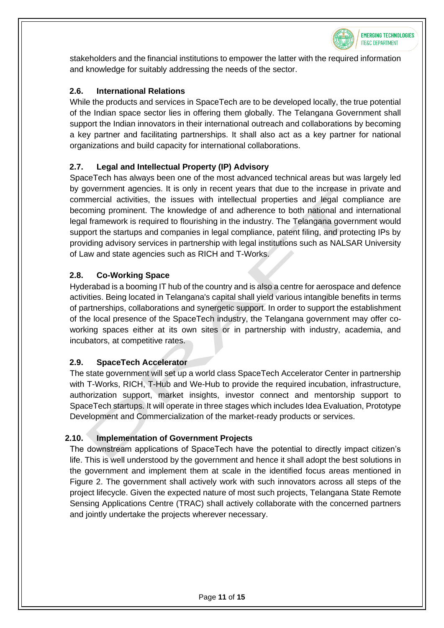

stakeholders and the financial institutions to empower the latter with the required information and knowledge for suitably addressing the needs of the sector.

#### **2.6. International Relations**

While the products and services in SpaceTech are to be developed locally, the true potential of the Indian space sector lies in offering them globally. The Telangana Government shall support the Indian innovators in their international outreach and collaborations by becoming a key partner and facilitating partnerships. It shall also act as a key partner for national organizations and build capacity for international collaborations.

#### **2.7. Legal and Intellectual Property (IP) Advisory**

SpaceTech has always been one of the most advanced technical areas but was largely led by government agencies. It is only in recent years that due to the increase in private and commercial activities, the issues with intellectual properties and legal compliance are becoming prominent. The knowledge of and adherence to both national and international legal framework is required to flourishing in the industry. The Telangana government would support the startups and companies in legal compliance, patent filing, and protecting IPs by providing advisory services in partnership with legal institutions such as NALSAR University of Law and state agencies such as RICH and T-Works.

#### **2.8. Co-Working Space**

Hyderabad is a booming IT hub of the country and is also a centre for aerospace and defence activities. Being located in Telangana's capital shall yield various intangible benefits in terms of partnerships, collaborations and synergetic support. In order to support the establishment of the local presence of the SpaceTech industry, the Telangana government may offer coworking spaces either at its own sites or in partnership with industry, academia, and incubators, at competitive rates.

#### **2.9. SpaceTech Accelerator**

The state government will set up a world class SpaceTech Accelerator Center in partnership with T-Works, RICH, T-Hub and We-Hub to provide the required incubation, infrastructure, authorization support, market insights, investor connect and mentorship support to SpaceTech startups. It will operate in three stages which includes Idea Evaluation, Prototype Development and Commercialization of the market-ready products or services.

#### **2.10. Implementation of Government Projects**

The downstream applications of SpaceTech have the potential to directly impact citizen's life. This is well understood by the government and hence it shall adopt the best solutions in the government and implement them at scale in the identified focus areas mentioned in [Figure 2.](#page-5-1) The government shall actively work with such innovators across all steps of the project lifecycle. Given the expected nature of most such projects, Telangana State Remote Sensing Applications Centre (TRAC) shall actively collaborate with the concerned partners and jointly undertake the projects wherever necessary.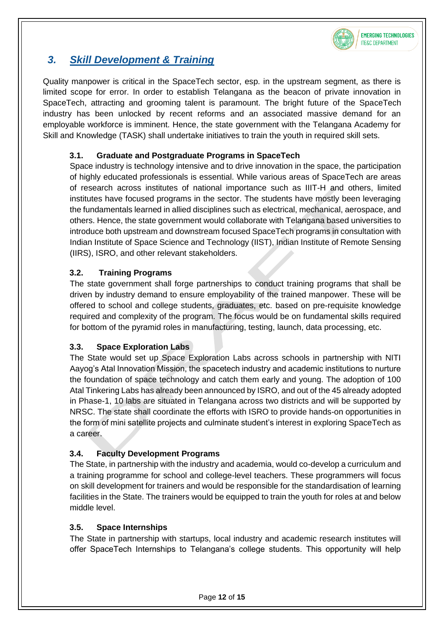

## <span id="page-11-0"></span>*3. Skill Development & Training*

Quality manpower is critical in the SpaceTech sector, esp. in the upstream segment, as there is limited scope for error. In order to establish Telangana as the beacon of private innovation in SpaceTech, attracting and grooming talent is paramount. The bright future of the SpaceTech industry has been unlocked by recent reforms and an associated massive demand for an employable workforce is imminent. Hence, the state government with the Telangana Academy for Skill and Knowledge (TASK) shall undertake initiatives to train the youth in required skill sets.

#### **3.1. Graduate and Postgraduate Programs in SpaceTech**

Space industry is technology intensive and to drive innovation in the space, the participation of highly educated professionals is essential. While various areas of SpaceTech are areas of research across institutes of national importance such as IIIT-H and others, limited institutes have focused programs in the sector. The students have mostly been leveraging the fundamentals learned in allied disciplines such as electrical, mechanical, aerospace, and others. Hence, the state government would collaborate with Telangana based universities to introduce both upstream and downstream focused SpaceTech programs in consultation with Indian Institute of Space Science and Technology (IIST), Indian Institute of Remote Sensing (IIRS), ISRO, and other relevant stakeholders.

#### **3.2. Training Programs**

The state government shall forge partnerships to conduct training programs that shall be driven by industry demand to ensure employability of the trained manpower. These will be offered to school and college students, graduates, etc. based on pre-requisite knowledge required and complexity of the program. The focus would be on fundamental skills required for bottom of the pyramid roles in manufacturing, testing, launch, data processing, etc.

#### **3.3. Space Exploration Labs**

The State would set up Space Exploration Labs across schools in partnership with NITI Aayog's Atal Innovation Mission, the spacetech industry and academic institutions to nurture the foundation of space technology and catch them early and young. The adoption of 100 Atal Tinkering Labs has already been announced by ISRO, and out of the 45 already adopted in Phase-1, 10 labs are situated in Telangana across two districts and will be supported by NRSC. The state shall coordinate the efforts with ISRO to provide hands-on opportunities in the form of mini satellite projects and culminate student's interest in exploring SpaceTech as a career.

#### **3.4. Faculty Development Programs**

The State, in partnership with the industry and academia, would co-develop a curriculum and a training programme for school and college-level teachers. These programmers will focus on skill development for trainers and would be responsible for the standardisation of learning facilities in the State. The trainers would be equipped to train the youth for roles at and below middle level.

#### **3.5. Space Internships**

The State in partnership with startups, local industry and academic research institutes will offer SpaceTech Internships to Telangana's college students. This opportunity will help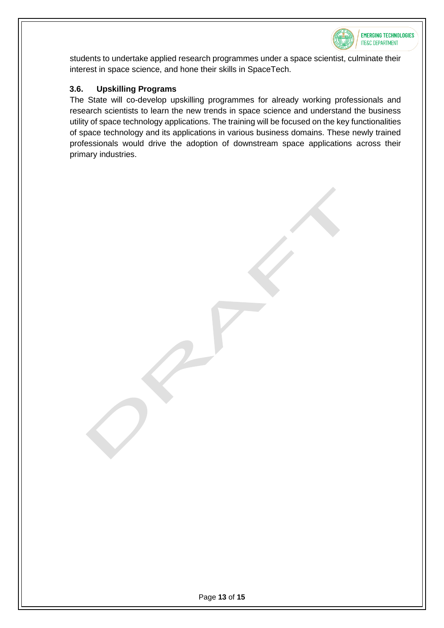

students to undertake applied research programmes under a space scientist, culminate their interest in space science, and hone their skills in SpaceTech.

#### **3.6. Upskilling Programs**

The State will co-develop upskilling programmes for already working professionals and research scientists to learn the new trends in space science and understand the business utility of space technology applications. The training will be focused on the key functionalities of space technology and its applications in various business domains. These newly trained professionals would drive the adoption of downstream space applications across their primary industries.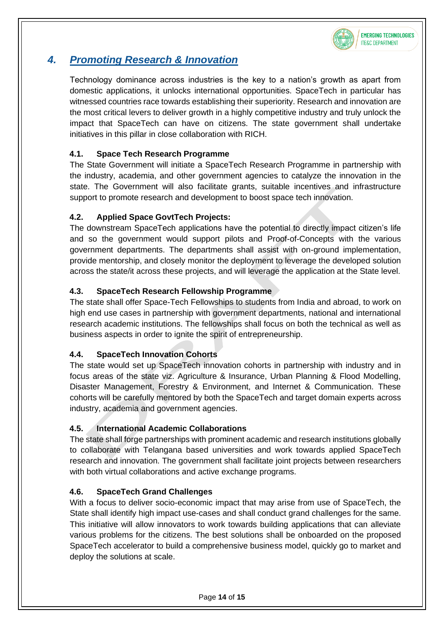

## <span id="page-13-0"></span>*4. Promoting Research & Innovation*

Technology dominance across industries is the key to a nation's growth as apart from domestic applications, it unlocks international opportunities. SpaceTech in particular has witnessed countries race towards establishing their superiority. Research and innovation are the most critical levers to deliver growth in a highly competitive industry and truly unlock the impact that SpaceTech can have on citizens. The state government shall undertake initiatives in this pillar in close collaboration with RICH.

#### **4.1. Space Tech Research Programme**

The State Government will initiate a SpaceTech Research Programme in partnership with the industry, academia, and other government agencies to catalyze the innovation in the state. The Government will also facilitate grants, suitable incentives and infrastructure support to promote research and development to boost space tech innovation.

#### **4.2. Applied Space GovtTech Projects:**

The downstream SpaceTech applications have the potential to directly impact citizen's life and so the government would support pilots and Proof-of-Concepts with the various government departments. The departments shall assist with on-ground implementation, provide mentorship, and closely monitor the deployment to leverage the developed solution across the state/it across these projects, and will leverage the application at the State level.

#### **4.3. SpaceTech Research Fellowship Programme**

The state shall offer Space-Tech Fellowships to students from India and abroad, to work on high end use cases in partnership with government departments, national and international research academic institutions. The fellowships shall focus on both the technical as well as business aspects in order to ignite the spirit of entrepreneurship.

#### **4.4. SpaceTech Innovation Cohorts**

The state would set up SpaceTech innovation cohorts in partnership with industry and in focus areas of the state viz. Agriculture & Insurance, Urban Planning & Flood Modelling, Disaster Management, Forestry & Environment, and Internet & Communication. These cohorts will be carefully mentored by both the SpaceTech and target domain experts across industry, academia and government agencies.

#### **4.5. International Academic Collaborations**

The state shall forge partnerships with prominent academic and research institutions globally to collaborate with Telangana based universities and work towards applied SpaceTech research and innovation. The government shall facilitate joint projects between researchers with both virtual collaborations and active exchange programs.

#### **4.6. SpaceTech Grand Challenges**

With a focus to deliver socio-economic impact that may arise from use of SpaceTech, the State shall identify high impact use-cases and shall conduct grand challenges for the same. This initiative will allow innovators to work towards building applications that can alleviate various problems for the citizens. The best solutions shall be onboarded on the proposed SpaceTech accelerator to build a comprehensive business model, quickly go to market and deploy the solutions at scale.